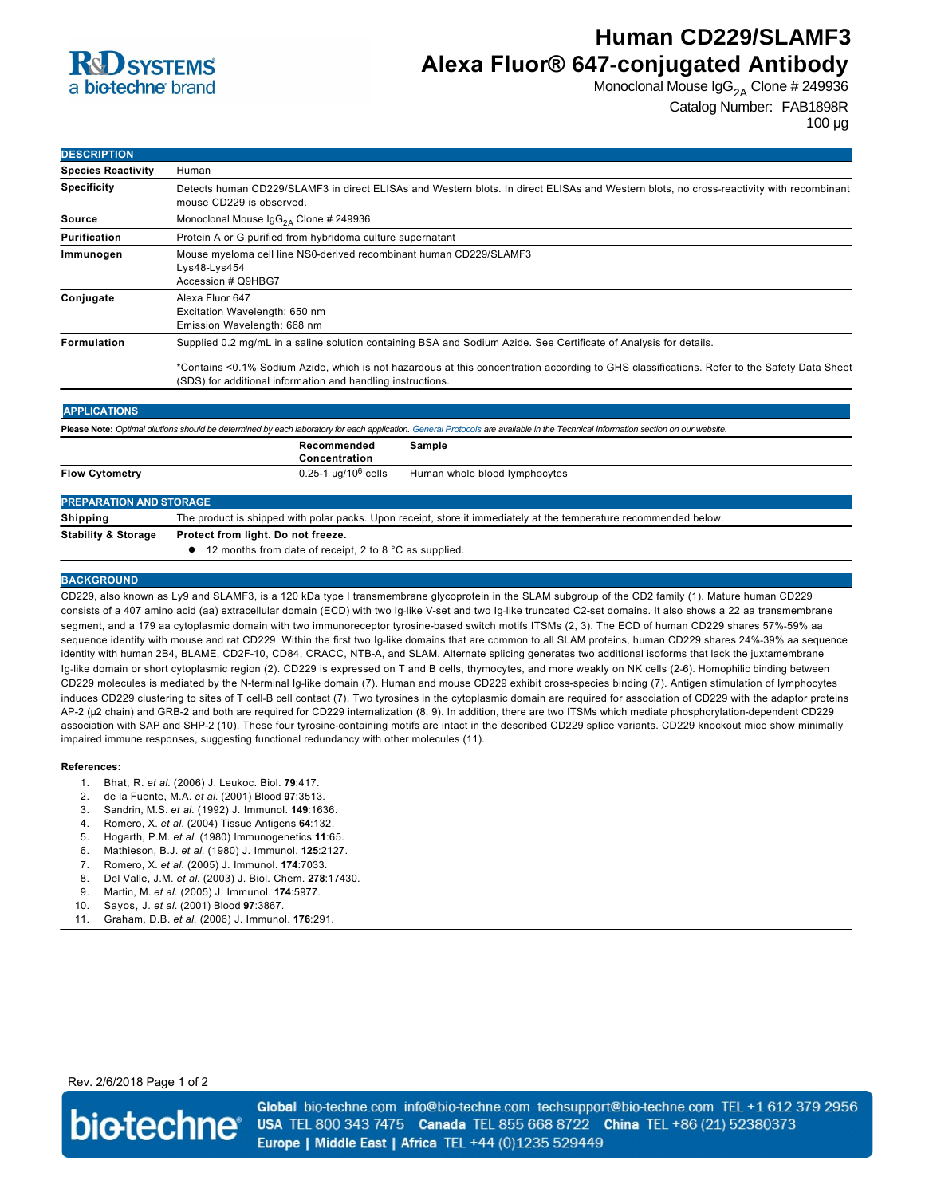

# **Human CD229/SLAMF3 Alexa Fluor® 647-conjugated Antibody**

Monoclonal Mouse  $\lg G_{2A}$  Clone # 249936

```
Catalog Number: FAB1898R
```
100 µg

| <b>DESCRIPTION</b>             |                                                                                                                                                                                                            |  |
|--------------------------------|------------------------------------------------------------------------------------------------------------------------------------------------------------------------------------------------------------|--|
| <b>Species Reactivity</b>      | Human                                                                                                                                                                                                      |  |
| <b>Specificity</b>             | Detects human CD229/SLAMF3 in direct ELISAs and Western blots. In direct ELISAs and Western blots, no cross-reactivity with recombinant<br>mouse CD229 is observed.                                        |  |
| <b>Source</b>                  | Monoclonal Mouse $\text{lgG}_{2A}$ Clone # 249936                                                                                                                                                          |  |
| <b>Purification</b>            | Protein A or G purified from hybridoma culture supernatant                                                                                                                                                 |  |
| Immunogen                      | Mouse myeloma cell line NS0-derived recombinant human CD229/SLAMF3<br>Lys48-Lys454<br>Accession # Q9HBG7                                                                                                   |  |
| Conjugate                      | Alexa Fluor 647<br>Excitation Wavelength: 650 nm<br>Emission Wavelength: 668 nm                                                                                                                            |  |
| <b>Formulation</b>             | Supplied 0.2 mg/mL in a saline solution containing BSA and Sodium Azide. See Certificate of Analysis for details.                                                                                          |  |
|                                | *Contains <0.1% Sodium Azide, which is not hazardous at this concentration according to GHS classifications. Refer to the Safety Data Sheet<br>(SDS) for additional information and handling instructions. |  |
| <b>APPLICATIONS</b>            |                                                                                                                                                                                                            |  |
|                                | Please Note: Optimal dilutions should be determined by each laboratory for each application. General Protocols are available in the Technical Information section on our website.                          |  |
|                                | Recommended<br>Sample<br>Concentration                                                                                                                                                                     |  |
| <b>Flow Cytometry</b>          | $0.25 - 1$ µg/10 <sup>6</sup> cells<br>Human whole blood lymphocytes                                                                                                                                       |  |
| <b>PREPARATION AND STORAGE</b> |                                                                                                                                                                                                            |  |
| <b>Shipping</b>                | The product is shipped with polar packs. Upon receipt, store it immediately at the temperature recommended below.                                                                                          |  |
| <b>Stability &amp; Storage</b> | Protect from light. Do not freeze.                                                                                                                                                                         |  |

● 12 months from date of receipt, 2 to 8 °C as supplied.

## **BACKGROUND**

CD229, also known as Ly9 and SLAMF3, is a 120 kDa type I transmembrane glycoprotein in the SLAM subgroup of the CD2 family (1). Mature human CD229 consists of a 407 amino acid (aa) extracellular domain (ECD) with two Ig-like V-set and two Ig-like truncated C2-set domains. It also shows a 22 aa transmembrane segment, and a 179 aa cytoplasmic domain with two immunoreceptor tyrosine-based switch motifs ITSMs (2, 3). The ECD of human CD229 shares 57%-59% aa sequence identity with mouse and rat CD229. Within the first two Ig-like domains that are common to all SLAM proteins, human CD229 shares 24%-39% aa sequence identity with human 2B4, BLAME, CD2F-10, CD84, CRACC, NTB-A, and SLAM. Alternate splicing generates two additional isoforms that lack the juxtamembrane Ig-like domain or short cytoplasmic region (2). CD229 is expressed on T and B cells, thymocytes, and more weakly on NK cells (2-6). Homophilic binding between CD229 molecules is mediated by the Nterminal Iglike domain (7). Human and mouse CD229 exhibit crossspecies binding (7). Antigen stimulation of lymphocytes induces CD229 clustering to sites of T cell-B cell contact (7). Two tyrosines in the cytoplasmic domain are required for association of CD229 with the adaptor proteins AP-2 (μ2 chain) and GRB-2 and both are required for CD229 internalization (8, 9). In addition, there are two ITSMs which mediate phosphorylation-dependent CD229 association with SAP and SHP-2 (10). These four tyrosine-containing motifs are intact in the described CD229 splice variants. CD229 knockout mice show minimally impaired immune responses, suggesting functional redundancy with other molecules (11).

#### **References:**

- 1. Bhat, R. *et al*. (2006) J. Leukoc. Biol. **79**:417.
- 2. de la Fuente, M.A. *et al*. (2001) Blood **97**:3513.
- 3. Sandrin, M.S. *et al*. (1992) J. Immunol. **149**:1636.
- 4. Romero, X. *et al*. (2004) Tissue Antigens **64**:132.
- 5. Hogarth, P.M. *et al*. (1980) Immunogenetics **11**:65.
- 6. Mathieson, B.J. *et al*. (1980) J. Immunol. **125**:2127.
- 7. Romero, X. *et al*. (2005) J. Immunol. **174**:7033.
- 8. Del Valle, J.M. *et al*. (2003) J. Biol. Chem. **278**:17430.
- 9. Martin, M. *et al*. (2005) J. Immunol. **174**:5977.
- 10. Sayos, J. *et al*. (2001) Blood **97**:3867.
- 11. Graham, D.B. *et al*. (2006) J. Immunol. **176**:291.

Rev. 2/6/2018 Page 1 of 2



Global bio-techne.com info@bio-techne.com techsupport@bio-techne.com TEL +1 612 379 2956 USA TEL 800 343 7475 Canada TEL 855 668 8722 China TEL +86 (21) 52380373 Europe | Middle East | Africa TEL +44 (0)1235 529449